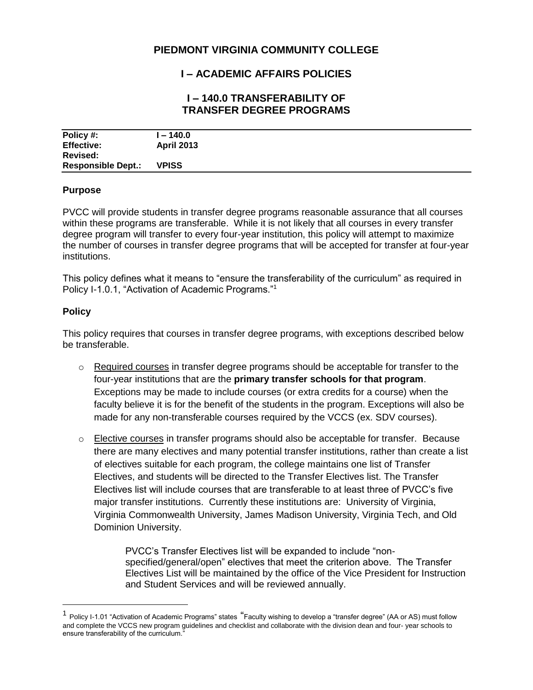# **PIEDMONT VIRGINIA COMMUNITY COLLEGE**

## **I – ACADEMIC AFFAIRS POLICIES**

### **I – 140.0 TRANSFERABILITY OF TRANSFER DEGREE PROGRAMS**

| Policy #:                 | l – 140.0         |
|---------------------------|-------------------|
| <b>Effective:</b>         | <b>April 2013</b> |
| Revised:                  |                   |
| <b>Responsible Dept.:</b> | <b>VPISS</b>      |

#### **Purpose**

PVCC will provide students in transfer degree programs reasonable assurance that all courses within these programs are transferable. While it is not likely that all courses in every transfer degree program will transfer to every four-year institution, this policy will attempt to maximize the number of courses in transfer degree programs that will be accepted for transfer at four-year institutions.

This policy defines what it means to "ensure the transferability of the curriculum" as required in Policy I-1.0.1, "Activation of Academic Programs."<sup>1</sup>

#### **Policy**

 $\overline{a}$ 

This policy requires that courses in transfer degree programs, with exceptions described below be transferable.

- $\circ$  Required courses in transfer degree programs should be acceptable for transfer to the four-year institutions that are the **primary transfer schools for that program**. Exceptions may be made to include courses (or extra credits for a course) when the faculty believe it is for the benefit of the students in the program. Exceptions will also be made for any non-transferable courses required by the VCCS (ex. SDV courses).
- $\circ$  Elective courses in transfer programs should also be acceptable for transfer. Because there are many electives and many potential transfer institutions, rather than create a list of electives suitable for each program, the college maintains one list of Transfer Electives, and students will be directed to the Transfer Electives list. The Transfer Electives list will include courses that are transferable to at least three of PVCC's five major transfer institutions. Currently these institutions are: University of Virginia, Virginia Commonwealth University, James Madison University, Virginia Tech, and Old Dominion University.

PVCC's Transfer Electives list will be expanded to include "nonspecified/general/open" electives that meet the criterion above. The Transfer Electives List will be maintained by the office of the Vice President for Instruction and Student Services and will be reviewed annually.

 $1$  Policy I-1.01 "Activation of Academic Programs" states "Faculty wishing to develop a "transfer degree" (AA or AS) must follow and complete the VCCS new program guidelines and checklist and collaborate with the division dean and four- year schools to ensure transferability of the curriculum."